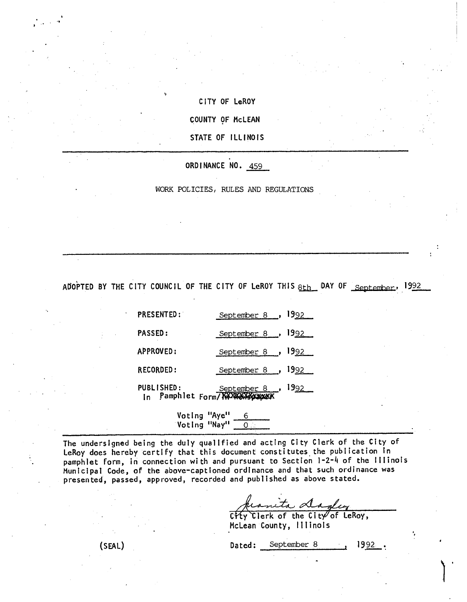CITY OF LeROY COUNTY OF McLEAN STATE OF ILLINOIS

V

ORDINANCE NO. 459

WORK POLICIES, RULES AND REGULATIONS

ADOPTED BY THE CITY COUNCIL OF THE CITY OF LeROY THIS  $8th$  DAY OF September, 1992

PRESENTED: September 8 , 1992 PASSED: September 8, 1992 APPROVED: September 8, 1992 RECORDED: September 8 , 1992 PUBLISHED: September 8, 1992 In Pamphlet Form/ %W

> Voting <mark>"Aye"</mark> \_\_<u>6</u> Voting "Nay" <u>- 0..</u>

The undersigned being the duly qualified and acting City Clerk of the City of LeRoy does hereby certify that this document constitutes the publication in pamphlet form, in connection with and pursuant to Section 1-2-4 of the Illinois Municipal Code, of the above-captioned ordinance and that such ordinance was presented, passed, approved, recorded and published as above stated.

heanita dagley

McLean County, Illinois

(SEAL) Dated: September 8 1992.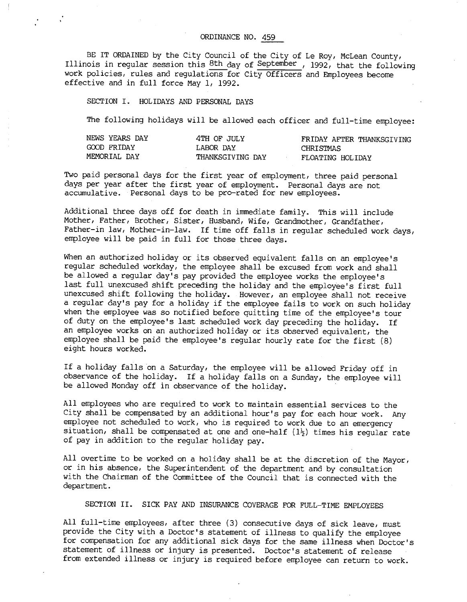BE IT ORDAINED by the City Council of the City of Le Roy, McLean County, Illinois in regular session this 8th day of September , 1992, that the following work policies, rules and regulations for City Officers and Employees become effective and in full force May 1, 1992.

SECTION I. HOLIDAYS AND PERSONAL DAYS

The following holidays will be allowed each officer and full-time employee:

| NEWS YEARS DAY | 4TH OF JULY      | FRIDAY AFTER THANKSGIVING |
|----------------|------------------|---------------------------|
| GOOD FRIDAY    | LABOR DAY        | CHRISTMAS                 |
| MEMORIAL DAY   | THANKSGIVING DAY | FLOATING HOLIDAY          |

Two paid personal days for the first year of employment, three paid personal days per year after the first year of employment. Personal days are not accumulative. Personal days to be pro-rated for new employees.

Additional three days off for death in immediate family. This will include Mother, Father, Brother, Sister, Husband, Wife, Grandmother, Grandfather, Father-in law, Mother-in-law. If time off falls in regular scheduled work days, employee will be paid in full for those three days.

When an authorized holiday or its observed equivalent falls on an employee's regular scheduled workday, the employee shall be excused from work and shall be allowed a regular day's pay provided the employee works the employee's last full unexcused shift preceding the holiday and the employee's first full unexcused shift following the holiday. However, an employee shall not receive a regular day's pay for a holiday if the employee fails to work on such holiday when the employee was so notified before quitting time of the employee's tour of duty on the employee's last scheduled work day preceding the holiday. If an employee works on an authorized holiday or its observed equivalent, the employee shall be paid the employee's regular hourly rate for the first (8) eight hours worked.

If a holiday falls on a Saturday, the employee will be allowed Friday off in observance of the holiday. If a holiday falls on a Sunday, the employee will be allowed Monday off in observance of the holiday.

All employees who are required to work to maintain essential services to the City shall be compensated by an additional hour's pay for each hour work. Any employee not scheduled to work, who is required to work due to an emergency situation, shall be compensated at one and one-half  $(1\frac{1}{2})$  times his regular rate of pay in addition to the regular holiday pay.

All overtime to be worked on a holiday shall be at the discretion of the Mayor, or in his absence, the Superintendent of the department and by consultation with the Chairman of the Committee of the Council that is connected with the department.

SECTION II. SICK PAY AND INSURANCE COVERAGE FOR FULL-TIME EMPLOYEES

All full-time employees, after three (3) consecutive days of sick leave, must provide the City with a Doctor's statement of illness to qualify the employee for compensation for any additional sick days for the same illness when Doctor's statement of illness or injury is presented. Doctor's statement of release from extended illness or injury is required before employee can return to work.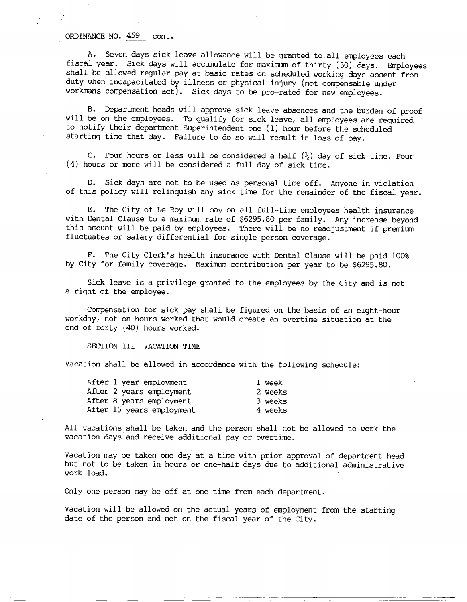## ORDINANCE NO. 459 cont.

A. Seven days sick leave allowance will be granted to all employees each fiscal year. Sick days will accumulate for maximum of thirty (30) days. Employees shall be allowed regular pay at basic rates on scheduled working days absent from duty when incapacitated by illness or physical injury (not compensable under workmans compensation act). Sick days to be pro-rated for new employees.

B. Department heads will approve sick leave absences and the burden of proof will be on the employees. To qualify for sick leave, all employees are required to notify their department Superintendent one (1) hour before the scheduled starting time that day. Failure to do so will result in loss of pay.

C. Four hours or less will be considered a half  $(\frac{1}{2})$  day of sick time, Four (4) hours or more will be considered a full day of sick time.

D. Sick days are not to be used as personal time off. Anyone in violation of this policy will relinquish any sick time for the remainder of the fiscal year.

E. The City of Le Roy will pay on all full-time employees health insurance with Dental Clause to a maximum rate of \$6295.80 per family. Any increase beyond this amount will be paid by employees. There will be no readjustment if premium fluctuates or salary differential for single person coverage.

F. The City Clerk's health insurance with Dental Clause will be paid 100% by City for family coverage. Maximum contribution per year to be \$6295.80.

Sick leave is a privilege granted to the employees by the City and is not a right of the employee.

Compensation for sick pay shall be figured on the basis of an eight-hour workday, not on hours worked that would create an overtime situation at the end of forty (40) hours worked.

SECTION III VACATION TIME

Vacation shall be allowed in accordance with the following schedule:

| After 1 year employment   | l week  |
|---------------------------|---------|
| After 2 years employment  | 2 weeks |
| After 8 years employment  | 3 weeks |
| After 15 years employment | 4 weeks |

All vacations shall be taken and the person shall not be allowed to work the vacation days and receive additional pay or overtime.

Vacation may be taken one day at a time with prior approval of department head but not to be taken in hours or one-half days due to additional administrative work load.

Only one person may be off at one time from each department.

Vacation will be allowed on the actual years of employment from the starting date of the person and not on the fiscal year of the City.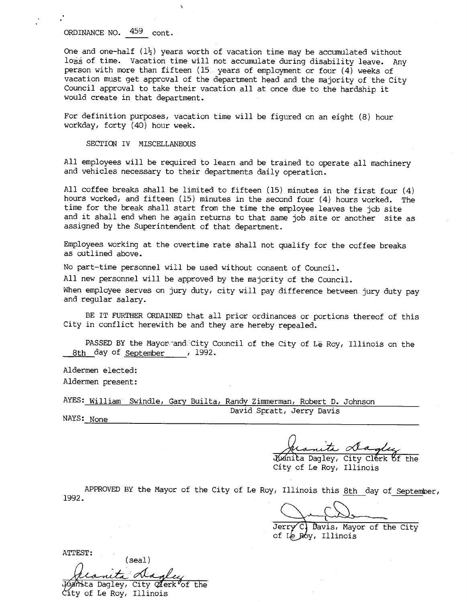## ORDINANCE NO. 459 cont.

One and one-half  $(1\frac{1}{2})$  years worth of vacation time may be accumulated without loss of time. Vacation time will not accumulate during disability leave. Any person with more than fifteen (15 years of employment or four (4) weeks of vacation must get approval of the department head and the majority of the City Council approval to take their vacation all at once due to the hardship it would create in that department.

For definition purposes, vacation time will be figured on an eight (8) hour workday, forty (40) hour week.

SECTION IV MISCELLANEOUS

All employees will be required to learn and be trained to operate all machinery and vehicles necessary to their departments daily operation.

All coffee breaks shall be limited to fifteen (15) minutes in the first four (4) hours worked, and fifteen (15) minutes in the second four (4) hours worked. The time for the break shall start from the time the employee leaves the job site and it shall end when he again returns to that same job site or another site as assigned by the Superintendent of that department.

Employees working at the overtime rate shall not qualify for the coffee breaks as outlined above.

No part-time personnel will be used without consent of Council.

All new personnel will be approved by the majority of the Council.

When employee serves on jury duty, city will pay difference between jury duty pay and regular salary.

BE IT FURTHER ORDAINED that all prior ordinances or portions thereof of this City in conflict herewith be and they are hereby repealed.

PASSED BY the Mayor-and City Council of the City of Le Roy, Illinois on the 8th day of September , 1992.

Aldermen elected: Aldermen present:

AYES: William Swindle, Gary Builta, Randy Zimmerman, Robert D. Johnson David Spratt, Jerry Davis

NAYS: None

Jecanita <u>Dagley</u><br>Wanita Dagley, City Clerk of the

City of Le Roy, Illinois

APPROVED BY the Mayor of the City of Le Roy, Illinois this 8th day of September, 1992.

Jerry<sup>C</sup>, Bavis, Mayor of the City

of Le Roy, Illinois

ATTEST:

(sea!) flanta dagley<br>panita Dagley, City Aerk of the

City of Le Roy, Illinois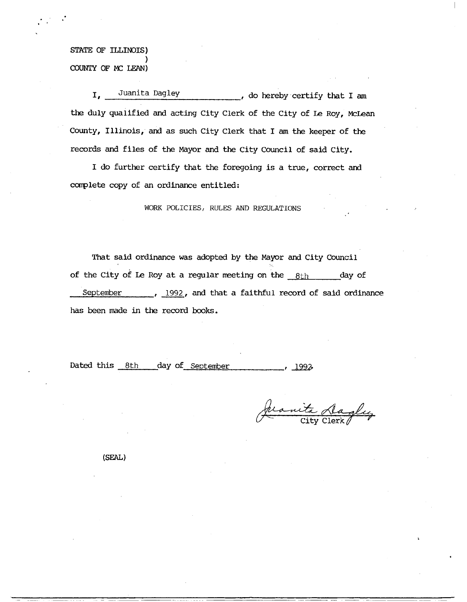STATE OF ILLINOIS) COUNTY OF MC LEAN)

I. Juanita Dagley , do hereby certify that I am the duly qualified and acting City Clerk of the City of Le Roy, McLean County, Illinois, and as such City Clerk that I am the keeper of the records and files of the Mayor and the City Council of said City.

I do further certify that the foregoing is a true, correct and complete copy of an ordinance entitled:

WORK POLICIES, RULES AND REGULATIONS

That said ordinance was adopted by the Mayor and City Council of the City of Le Roy at a regular meeting on the  $8th$  day of September , 1992, and that a faithful record of said ordinance has been made in the record books.

Dated this 8th day of September 1992

rearita dagley

(SEAL)